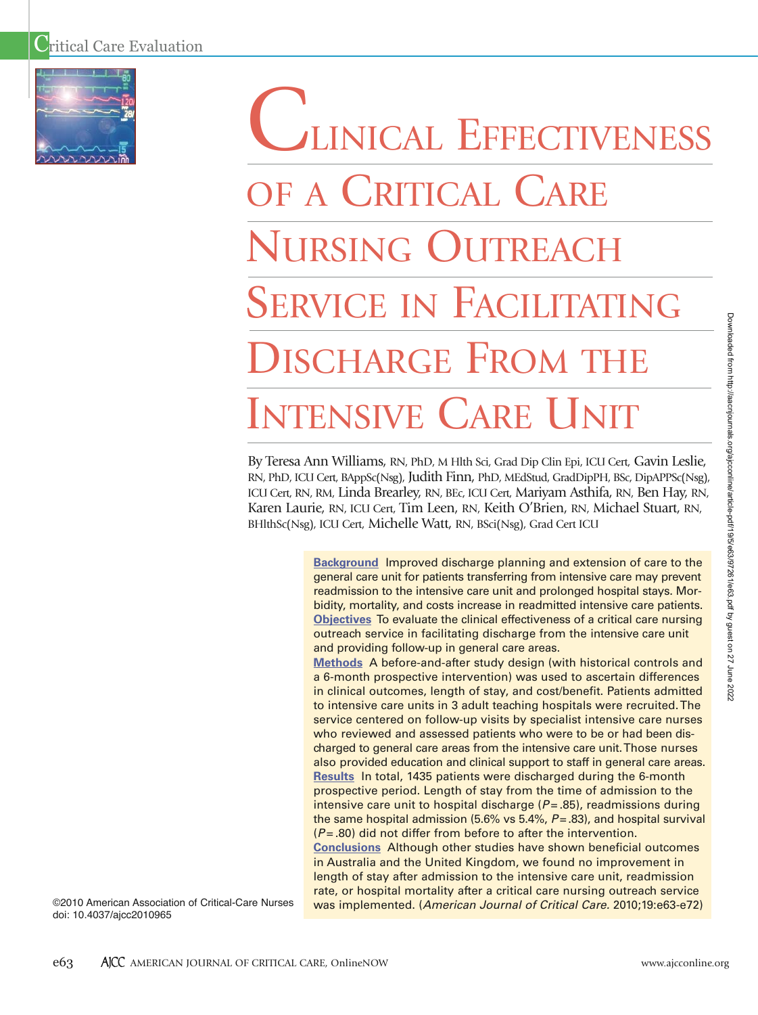

# LINICAL EFFECTIVENESS OF A CRITICAL CARE NURSING OUTREACH SERVICE IN FACILITATING DISCHARGE FROM THE INTENSIVE CARE I IN

By Teresa Ann Williams, RN, PhD, M Hlth Sci, Grad Dip Clin Epi, ICU Cert, Gavin Leslie, RN, PhD, ICU Cert, BAppSc(Nsg), Judith Finn, PhD, MEdStud, GradDipPH, BSc, DipAPPSc(Nsg), ICU Cert, RN, RM, Linda Brearley, RN, BEc, ICU Cert, Mariyam Asthifa, RN, Ben Hay, RN, Karen Laurie, RN, ICU Cert, Tim Leen, RN, Keith O'Brien, RN, Michael Stuart, RN, BHlthSc(Nsg), ICU Cert, Michelle Watt, RN, BSci(Nsg), Grad Cert ICU

> **Background** Improved discharge planning and extension of care to the general care unit for patients transferring from intensive care may prevent readmission to the intensive care unit and prolonged hospital stays. Morbidity, mortality, and costs increase in readmitted intensive care patients. **Objectives** To evaluate the clinical effectiveness of a critical care nursing outreach service in facilitating discharge from the intensive care unit and providing follow-up in general care areas.

> **Methods** A before-and-after study design (with historical controls and a 6-month prospective intervention) was used to ascertain differences in clinical outcomes, length of stay, and cost/benefit. Patients admitted to intensive care units in 3 adult teaching hospitals were recruited. The service centered on follow-up visits by specialist intensive care nurses who reviewed and assessed patients who were to be or had been discharged to general care areas from the intensive care unit.Those nurses also provided education and clinical support to staff in general care areas. **Results** In total, 1435 patients were discharged during the 6-month prospective period. Length of stay from the time of admission to the intensive care unit to hospital discharge ( $P = .85$ ), readmissions during the same hospital admission (5.6% vs 5.4%, *P*= .83), and hospital survival (*P* = .80) did not differ from before to after the intervention. **Conclusions** Although other studies have shown beneficial outcomes in Australia and the United Kingdom, we found no improvement in

> length of stay after admission to the intensive care unit, readmission rate, or hospital mortality after a critical care nursing outreach service was implemented. (*American Journal of Critical Care.* 2010;19:e63-e72)

©2010 American Association of Critical-Care Nurses doi: 10.4037/ajcc2010965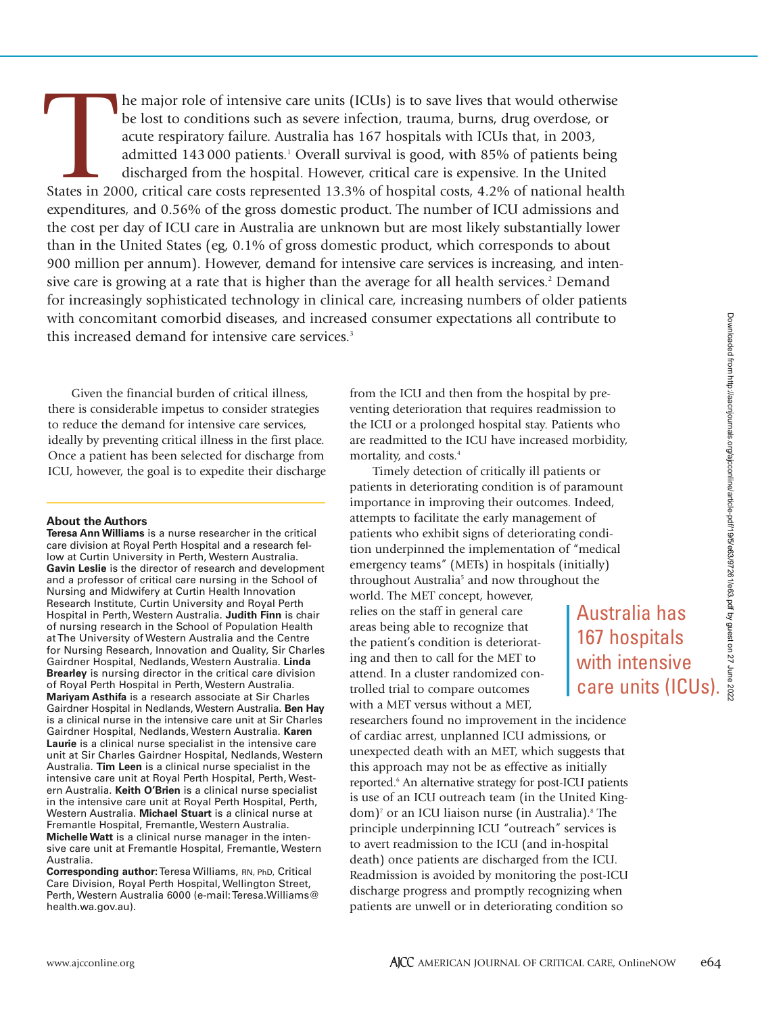The major role of intensive care units (ICUs) is to save lives that would otherwise<br>
be lost to conditions such as severe infection, trauma, burns, drug overdose, or<br>
acute respiratory failure. Australia has 167 hospitals be lost to conditions such as severe infection, trauma, burns, drug overdose, or acute respiratory failure. Australia has 167 hospitals with ICUs that, in 2003, admitted 143 000 patients.<sup>1</sup> Overall survival is good, with 85% of patients being discharged from the hospital. However, critical care is expensive. In the United expenditures, and 0.56% of the gross domestic product. The number of ICU admissions and the cost per day of ICU care in Australia are unknown but are most likely substantially lower than in the United States (eg, 0.1% of gross domestic product, which corresponds to about 900 million per annum). However, demand for intensive care services is increasing, and intensive care is growing at a rate that is higher than the average for all health services.<sup>2</sup> Demand for increasingly sophisticated technology in clinical care, increasing numbers of older patients with concomitant comorbid diseases, and increased consumer expectations all contribute to this increased demand for intensive care services.<sup>3</sup>

Given the financial burden of critical illness, there is considerable impetus to consider strategies to reduce the demand for intensive care services, ideally by preventing critical illness in the first place. Once a patient has been selected for discharge from ICU, however, the goal is to expedite their discharge

#### **About the Authors**

**Teresa Ann Williams** is a nurse researcher in the critical care division at Royal Perth Hospital and a research fellow at Curtin University in Perth, Western Australia. **Gavin Leslie** is the director of research and development and a professor of critical care nursing in the School of Nursing and Midwifery at Curtin Health Innovation Research Institute, Curtin University and Royal Perth Hospital in Perth, Western Australia. **Judith Finn** is chair of nursing research in the School of Population Health at The University of Western Australia and the Centre for Nursing Research, Innovation and Quality, Sir Charles Gairdner Hospital, Nedlands, Western Australia. **Linda Brearley** is nursing director in the critical care division of Royal Perth Hospital in Perth, Western Australia. **Mariyam Asthifa** is a research associate at Sir Charles Gairdner Hospital in Nedlands, Western Australia. **Ben Hay** is a clinical nurse in the intensive care unit at Sir Charles Gairdner Hospital, Nedlands, Western Australia. **Karen Laurie** is a clinical nurse specialist in the intensive care unit at Sir Charles Gairdner Hospital, Nedlands, Western Australia. **Tim Leen** is a clinical nurse specialist in the intensive care unit at Royal Perth Hospital, Perth, Western Australia. **Keith O'Brien** is a clinical nurse specialist in the intensive care unit at Royal Perth Hospital, Perth, Western Australia. **Michael Stuart** is a clinical nurse at Fremantle Hospital, Fremantle, Western Australia. **Michelle Watt** is a clinical nurse manager in the intensive care unit at Fremantle Hospital, Fremantle, Western Australia.

**Corresponding author:**Teresa Williams, RN, PhD, Critical Care Division, Royal Perth Hospital, Wellington Street, Perth, Western Australia 6000 (e-mail: Teresa.Williams@ health.wa.gov.au).

from the ICU and then from the hospital by preventing deterioration that requires readmission to the ICU or a prolonged hospital stay. Patients who are readmitted to the ICU have increased morbidity, mortality, and costs.<sup>4</sup>

Timely detection of critically ill patients or patients in deteriorating condition is of paramount importance in improving their outcomes. Indeed, attempts to facilitate the early management of patients who exhibit signs of deteriorating condition underpinned the implementation of "medical emergency teams" (METs) in hospitals (initially) throughout Australia<sup>5</sup> and now throughout the

world. The MET concept, however, relies on the staff in general care areas being able to recognize that the patient's condition is deteriorating and then to call for the MET to attend. In a cluster randomized controlled trial to compare outcomes with a MET versus without a MET,

researchers found no improvement in the incidence of cardiac arrest, unplanned ICU admissions, or unexpected death with an MET, which suggests that this approach may not be as effective as initially reported.<sup>6</sup> An alternative strategy for post-ICU patients is use of an ICU outreach team (in the United Kingdom)<sup>7</sup> or an ICU liaison nurse (in Australia).<sup>8</sup> The principle underpinning ICU "outreach" services is to avert readmission to the ICU (and in-hospital death) once patients are discharged from the ICU. Readmission is avoided by monitoring the post-ICU discharge progress and promptly recognizing when patients are unwell or in deteriorating condition so

Australia has 167 hospitals with intensive

care units (ICUs).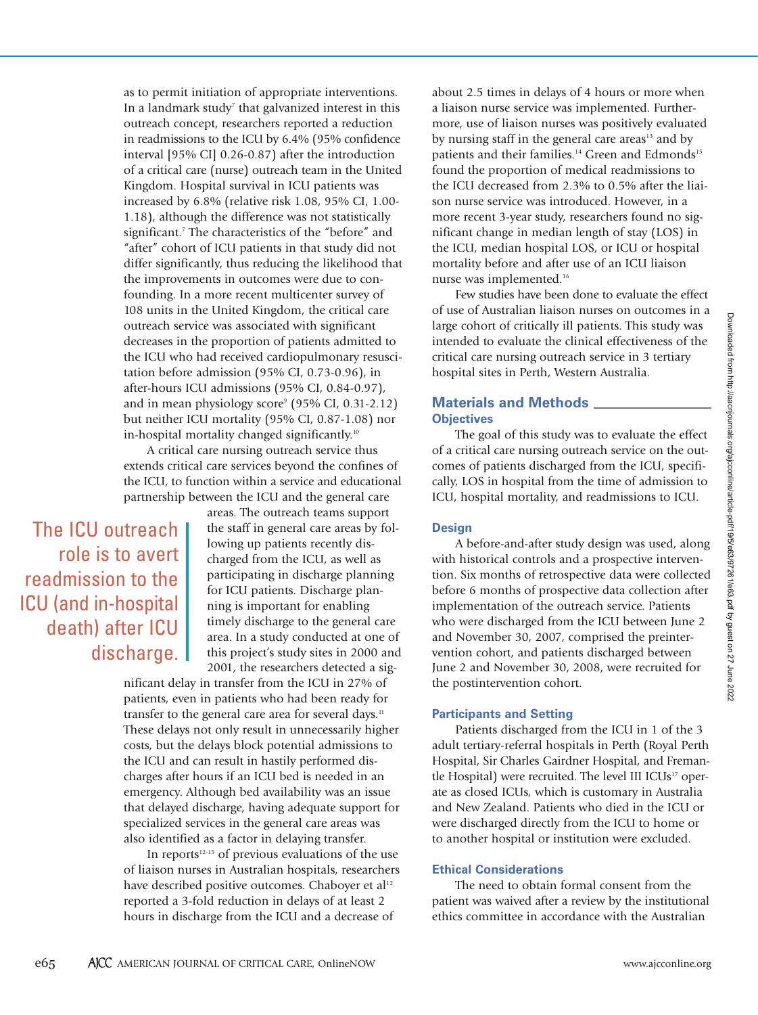as to permit initiation of appropriate interventions. In a landmark study<sup>7</sup> that galvanized interest in this outreach concept, researchers reported a reduction in readmissions to the ICU by 6.4% (95% confidence interval [95% CI] 0.26-0.87) after the introduction of a critical care (nurse) outreach team in the United Kingdom. Hospital survival in ICU patients was increased by 6.8% (relative risk 1.08, 95% CI, 1.00- 1.18), although the difference was not statistically significant.<sup>7</sup> The characteristics of the "before" and "after" cohort of ICU patients in that study did not differ significantly, thus reducing the likelihood that the improvements in outcomes were due to confounding. In a more recent multicenter survey of 108 units in the United Kingdom, the critical care outreach service was associated with significant decreases in the proportion of patients admitted to the ICU who had received cardiopulmonary resuscitation before admission (95% CI, 0.73-0.96), in after-hours ICU admissions (95% CI, 0.84-0.97), and in mean physiology score<sup>9</sup> (95% CI, 0.31-2.12) but neither ICU mortality (95% CI, 0.87-1.08) nor in-hospital mortality changed significantly.<sup>10</sup>

A critical care nursing outreach service thus extends critical care services beyond the confines of the ICU, to function within a service and educational partnership between the ICU and the general care

The ICU outreach role is to avert readmission to the ICU (and in-hospital death) after ICU discharge. areas. The outreach teams support the staff in general care areas by following up patients recently discharged from the ICU, as well as participating in discharge planning for ICU patients. Discharge planning is important for enabling timely discharge to the general care area. In a study conducted at one of this project's study sites in 2000 and 2001, the researchers detected a sig-

nificant delay in transfer from the ICU in 27% of patients, even in patients who had been ready for transfer to the general care area for several days.<sup>11</sup> These delays not only result in unnecessarily higher costs, but the delays block potential admissions to the ICU and can result in hastily performed discharges after hours if an ICU bed is needed in an emergency. Although bed availability was an issue that delayed discharge, having adequate support for specialized services in the general care areas was also identified as a factor in delaying transfer.

In reports $12-15$  of previous evaluations of the use of liaison nurses in Australian hospitals, researchers have described positive outcomes. Chaboyer et al<sup>12</sup> reported a 3-fold reduction in delays of at least 2 hours in discharge from the ICU and a decrease of

about 2.5 times in delays of 4 hours or more when a liaison nurse service was implemented. Furthermore, use of liaison nurses was positively evaluated by nursing staff in the general care areas $13$  and by patients and their families.<sup>14</sup> Green and Edmonds<sup>15</sup> found the proportion of medical readmissions to the ICU decreased from 2.3% to 0.5% after the liaison nurse service was introduced. However, in a more recent 3-year study, researchers found no significant change in median length of stay (LOS) in the ICU, median hospital LOS, or ICU or hospital mortality before and after use of an ICU liaison nurse was implemented.16

Few studies have been done to evaluate the effect of use of Australian liaison nurses on outcomes in a large cohort of critically ill patients. This study was intended to evaluate the clinical effectiveness of the critical care nursing outreach service in 3 tertiary hospital sites in Perth, Western Australia.

### **Materials and Methods Objectives**

The goal of this study was to evaluate the effect of a critical care nursing outreach service on the outcomes of patients discharged from the ICU, specifically, LOS in hospital from the time of admission to ICU, hospital mortality, and readmissions to ICU.

#### **Design**

A before-and-after study design was used, along with historical controls and a prospective intervention. Six months of retrospective data were collected before 6 months of prospective data collection after implementation of the outreach service. Patients who were discharged from the ICU between June 2 and November 30, 2007, comprised the preintervention cohort, and patients discharged between June 2 and November 30, 2008, were recruited for the postintervention cohort.

#### **Participants and Setting**

Patients discharged from the ICU in 1 of the 3 adult tertiary-referral hospitals in Perth (Royal Perth Hospital, Sir Charles Gairdner Hospital, and Fremantle Hospital) were recruited. The level III ICUs<sup>17</sup> operate as closed ICUs, which is customary in Australia and New Zealand. Patients who died in the ICU or were discharged directly from the ICU to home or to another hospital or institution were excluded.

#### **Ethical Considerations**

The need to obtain formal consent from the patient was waived after a review by the institutional ethics committee in accordance with the Australian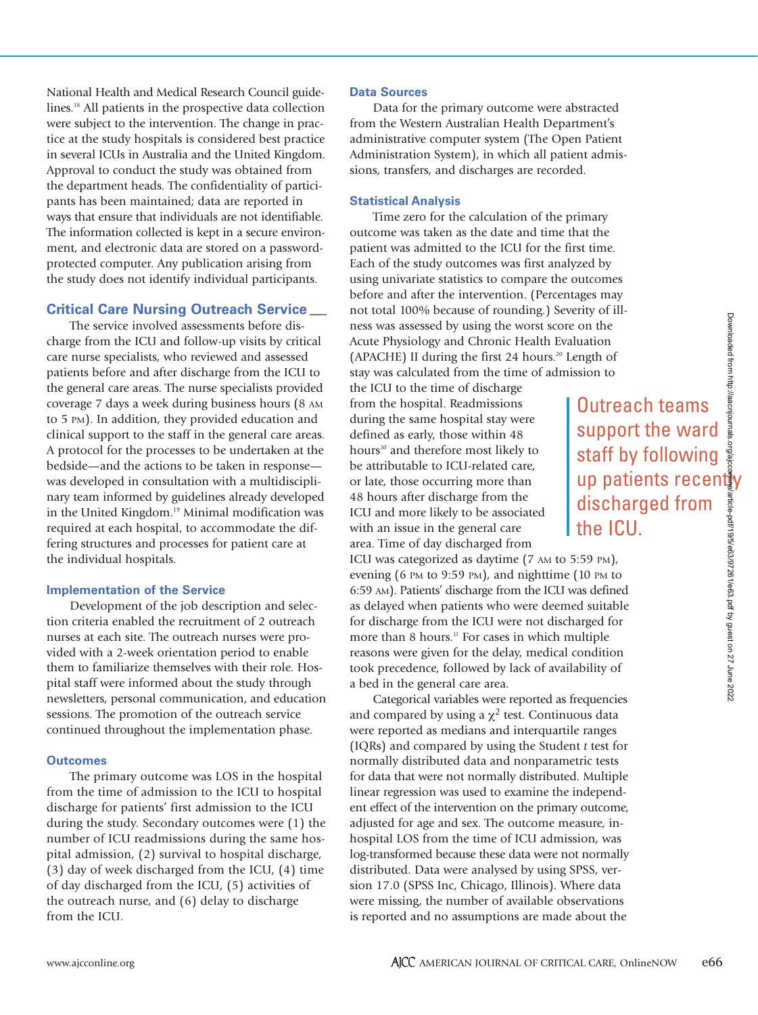Outreach teams support the ward staff by following

discharged from

the ICU.

National Health and Medical Research Council guidelines.<sup>18</sup> All patients in the prospective data collection were subject to the intervention. The change in practice at the study hospitals is considered best practice in several ICUs in Australia and the United Kingdom. Approval to conduct the study was obtained from the department heads. The confidentiality of participants has been maintained; data are reported in ways that ensure that individuals are not identifiable. The information collected is kept in a secure environment, and electronic data are stored on a passwordprotected computer. Any publication arising from the study does not identify individual participants.

### **Critical Care Nursing Outreach Service**

The service involved assessments before discharge from the ICU and follow-up visits by critical care nurse specialists, who reviewed and assessed patients before and after discharge from the ICU to the general care areas. The nurse specialists provided coverage 7 days a week during business hours (8 AM to 5 PM). In addition, they provided education and clinical support to the staff in the general care areas. A protocol for the processes to be undertaken at the bedside—and the actions to be taken in response was developed in consultation with a multidisciplinary team informed by guidelines already developed in the United Kingdom.<sup>19</sup> Minimal modification was required at each hospital, to accommodate the differing structures and processes for patient care at the individual hospitals.

#### **Implementation of the Service**

Development of the job description and selection criteria enabled the recruitment of 2 outreach nurses at each site. The outreach nurses were provided with a 2-week orientation period to enable them to familiarize themselves with their role. Hospital staff were informed about the study through newsletters, personal communication, and education sessions. The promotion of the outreach service continued throughout the implementation phase.

#### **Outcomes**

The primary outcome was LOS in the hospital from the time of admission to the ICU to hospital discharge for patients' first admission to the ICU during the study. Secondary outcomes were (1) the number of ICU readmissions during the same hospital admission, (2) survival to hospital discharge, (3) day of week discharged from the ICU, (4) time of day discharged from the ICU, (5) activities of the outreach nurse, and (6) delay to discharge from the ICU.

#### **Data Sources**

Data for the primary outcome were abstracted from the Western Australian Health Department's administrative computer system (The Open Patient Administration System), in which all patient admissions, transfers, and discharges are recorded.

#### **Statistical Analysis**

Time zero for the calculation of the primary outcome was taken as the date and time that the patient was admitted to the ICU for the first time. Each of the study outcomes was first analyzed by using univariate statistics to compare the outcomes before and after the intervention. (Percentages may not total 100% because of rounding.) Severity of illness was assessed by using the worst score on the Acute Physiology and Chronic Health Evaluation (APACHE) II during the first 24 hours.<sup>20</sup> Length of stay was calculated from the time of admission to

the ICU to the time of discharge from the hospital. Readmissions during the same hospital stay were defined as early, those within 48 hours<sup>10</sup> and therefore most likely to be attributable to ICU-related care, or late, those occurring more than 48 hours after discharge from the ICU and more likely to be associated with an issue in the general care area. Time of day discharged from ICU was categorized as daytime (7 AM to 5:59 PM),

evening (6 PM to 9:59 PM), and nighttime (10 PM to 6:59 AM). Patients' discharge from the ICU was defined as delayed when patients who were deemed suitable for discharge from the ICU were not discharged for more than 8 hours.<sup>11</sup> For cases in which multiple reasons were given for the delay, medical condition took precedence, followed by lack of availability of a bed in the general care area.

Categorical variables were reported as frequencies and compared by using a  $\chi^2$  test. Continuous data were reported as medians and interquartile ranges (IQRs) and compared by using the Student *t* test for normally distributed data and nonparametric tests for data that were not normally distributed. Multiple linear regression was used to examine the independent effect of the intervention on the primary outcome, adjusted for age and sex. The outcome measure, inhospital LOS from the time of ICU admission, was log-transformed because these data were not normally distributed. Data were analysed by using SPSS, version 17.0 (SPSS Inc, Chicago, Illinois). Where data were missing, the number of available observations is reported and no assumptions are made about the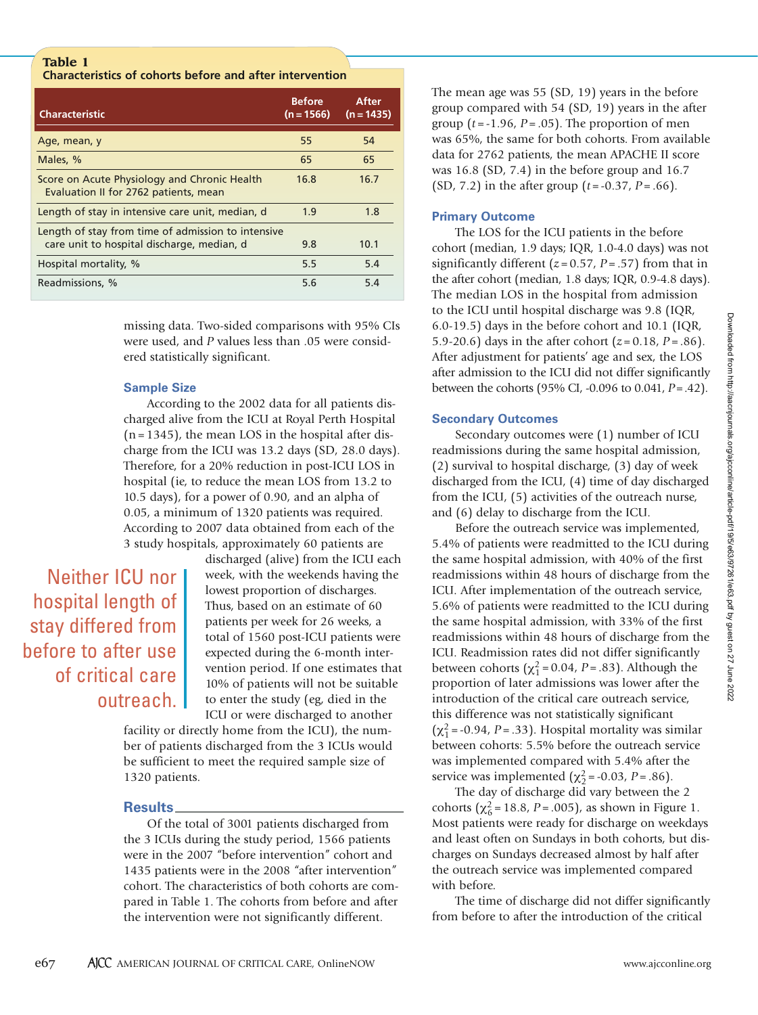# **Table 1 Characteristics of cohorts before and after intervention**

| <b>Characteristic</b>                                                                 | <b>Before</b><br>$(n = 1566)$ | After<br>$(n = 1435)$ |
|---------------------------------------------------------------------------------------|-------------------------------|-----------------------|
| Age, mean, y                                                                          | 55                            | 54                    |
| Males, %                                                                              | 65                            | 65                    |
| Score on Acute Physiology and Chronic Health<br>Evaluation II for 2762 patients, mean | 16.8                          | 16.7                  |
| Length of stay in intensive care unit, median, d                                      | 1.9                           | 1.8                   |
| Length of stay from time of admission to intensive                                    |                               |                       |
| care unit to hospital discharge, median, d                                            | 9.8                           | 10.1                  |
| Hospital mortality, %                                                                 | 5.5                           | 5.4                   |
| Readmissions, %                                                                       | 5.6                           | 5.4                   |

missing data. Two-sided comparisons with 95% CIs were used, and *P* values less than .05 were considered statistically significant.

#### **Sample Size**

According to the 2002 data for all patients discharged alive from the ICU at Royal Perth Hospital  $(n = 1345)$ , the mean LOS in the hospital after discharge from the ICU was 13.2 days (SD, 28.0 days). Therefore, for a 20% reduction in post-ICU LOS in hospital (ie, to reduce the mean LOS from 13.2 to 10.5 days), for a power of 0.90, and an alpha of 0.05, a minimum of 1320 patients was required. According to 2007 data obtained from each of the 3 study hospitals, approximately 60 patients are

# Neither ICU nor hospital length of stay differed from before to after use of critical care outreach.

discharged (alive) from the ICU each week, with the weekends having the lowest proportion of discharges. Thus, based on an estimate of 60 patients per week for 26 weeks, a total of 1560 post-ICU patients were expected during the 6-month intervention period. If one estimates that 10% of patients will not be suitable to enter the study (eg, died in the ICU or were discharged to another

facility or directly home from the ICU), the number of patients discharged from the 3 ICUs would be sufficient to meet the required sample size of 1320 patients.

# **Results**

Of the total of 3001 patients discharged from the 3 ICUs during the study period, 1566 patients were in the 2007 "before intervention" cohort and 1435 patients were in the 2008 "after intervention" cohort. The characteristics of both cohorts are compared in Table 1. The cohorts from before and after the intervention were not significantly different.

The mean age was 55 (SD, 19) years in the before group compared with 54 (SD, 19) years in the after group  $(t = -1.96, P = .05)$ . The proportion of men was 65%, the same for both cohorts. From available data for 2762 patients, the mean APACHE II score was 16.8 (SD, 7.4) in the before group and 16.7 (SD, 7.2) in the after group (*t* = -0.37, *P* = .66).

#### **Primary Outcome**

The LOS for the ICU patients in the before cohort (median, 1.9 days; IQR, 1.0-4.0 days) was not significantly different  $(z = 0.57, P = .57)$  from that in the after cohort (median, 1.8 days; IQR, 0.9-4.8 days). The median LOS in the hospital from admission to the ICU until hospital discharge was 9.8 (IQR, 6.0-19.5) days in the before cohort and 10.1 (IQR, 5.9-20.6) days in the after cohort  $(z = 0.18, P = .86)$ . After adjustment for patients' age and sex, the LOS after admission to the ICU did not differ significantly between the cohorts (95% CI, -0.096 to 0.041, *P*=.42).

# **Secondary Outcomes**

Secondary outcomes were (1) number of ICU readmissions during the same hospital admission, (2) survival to hospital discharge, (3) day of week discharged from the ICU, (4) time of day discharged from the ICU, (5) activities of the outreach nurse, and (6) delay to discharge from the ICU.

Before the outreach service was implemented, 5.4% of patients were readmitted to the ICU during the same hospital admission, with 40% of the first readmissions within 48 hours of discharge from the ICU. After implementation of the outreach service, 5.6% of patients were readmitted to the ICU during the same hospital admission, with 33% of the first readmissions within 48 hours of discharge from the ICU. Readmission rates did not differ significantly between cohorts  $(\chi_1^2 = 0.04, P = .83)$ . Although the proportion of later admissions was lower after the introduction of the critical care outreach service, this difference was not statistically significant  $(\chi_1^2$  = -0.94, *P* = .33). Hospital mortality was similar between cohorts: 5.5% before the outreach service was implemented compared with 5.4% after the service was implemented  $(\chi_2^2 = -0.03, P = .86)$ .

The day of discharge did vary between the 2 cohorts ( $\chi^2$ <sub>6</sub> = 18.8, *P* = .005), as shown in Figure 1. Most patients were ready for discharge on weekdays and least often on Sundays in both cohorts, but discharges on Sundays decreased almost by half after the outreach service was implemented compared with before.

The time of discharge did not differ significantly from before to after the introduction of the critical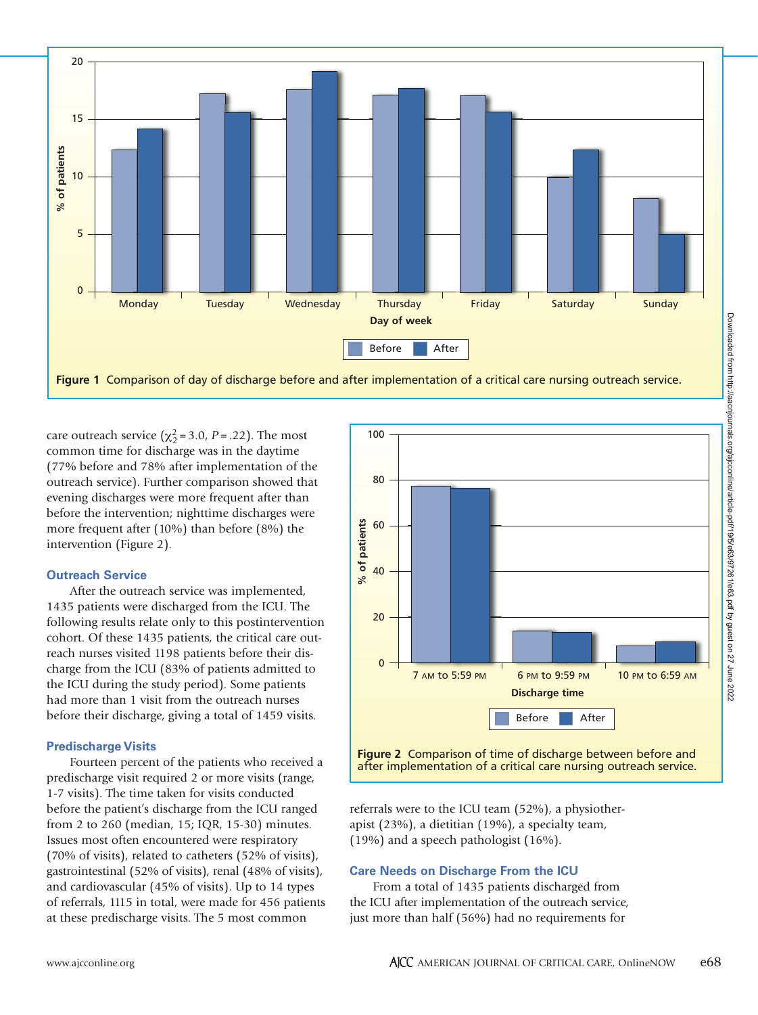

care outreach service ( $\chi^2$  = 3.0, *P* = .22). The most common time for discharge was in the daytime (77% before and 78% after implementation of the outreach service). Further comparison showed that evening discharges were more frequent after than before the intervention; nighttime discharges were more frequent after (10%) than before (8%) the intervention (Figure 2).

#### **Outreach Service**

After the outreach service was implemented, 1435 patients were discharged from the ICU. The following results relate only to this postintervention cohort. Of these 1435 patients, the critical care outreach nurses visited 1198 patients before their discharge from the ICU (83% of patients admitted to the ICU during the study period). Some patients had more than 1 visit from the outreach nurses before their discharge, giving a total of 1459 visits.

#### **Predischarge Visits**

Fourteen percent of the patients who received a predischarge visit required 2 or more visits (range, 1-7 visits). The time taken for visits conducted before the patient's discharge from the ICU ranged from 2 to 260 (median, 15; IQR, 15-30) minutes. Issues most often encountered were respiratory (70% of visits), related to catheters (52% of visits), gastrointestinal (52% of visits), renal (48% of visits), and cardiovascular (45% of visits). Up to 14 types of referrals, 1115 in total, were made for 456 patients at these predischarge visits. The 5 most common



**Figure 2** Comparison of time of discharge between before and

referrals were to the ICU team (52%), a physiotherapist (23%), a dietitian (19%), a specialty team, (19%) and a speech pathologist (16%).

#### **Care Needs on Discharge From the ICU**

From a total of 1435 patients discharged from the ICU after implementation of the outreach service, just more than half (56%) had no requirements for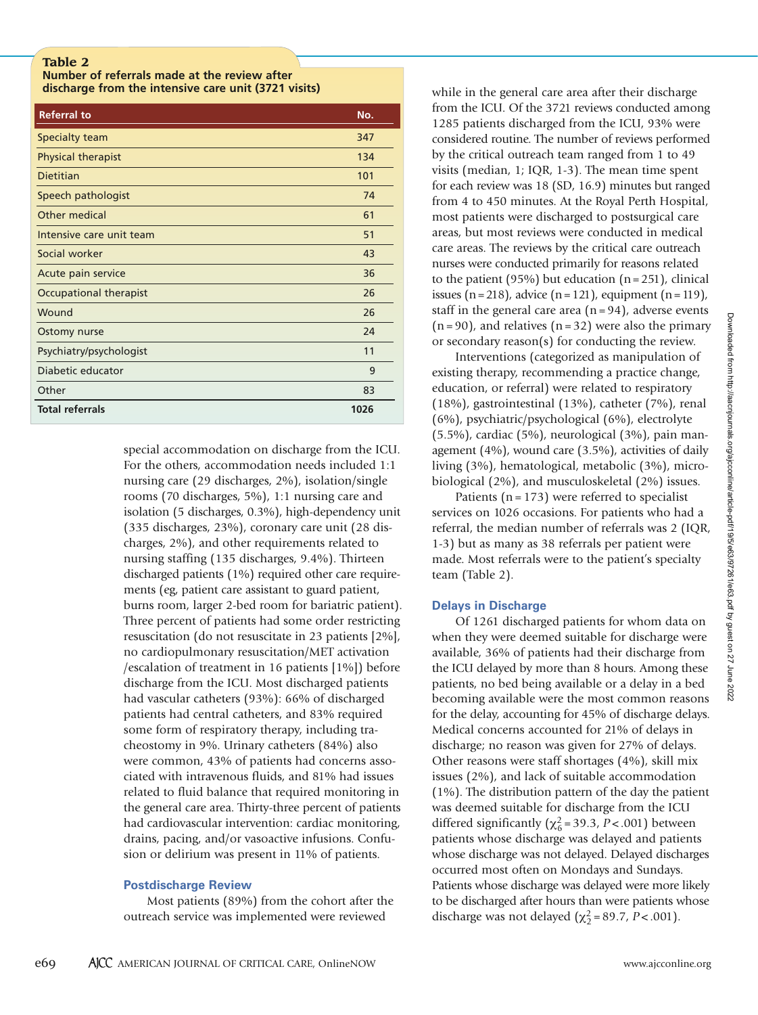#### **Table 2**

**Number of referrals made at the review after discharge from the intensive care unit (3721 visits)**

| <b>Referral to</b>        | No.  |
|---------------------------|------|
| <b>Specialty team</b>     | 347  |
| <b>Physical therapist</b> | 134  |
| <b>Dietitian</b>          | 101  |
| Speech pathologist        | 74   |
| Other medical             | 61   |
| Intensive care unit team  | 51   |
| Social worker             | 43   |
| Acute pain service        | 36   |
| Occupational therapist    | 26   |
| Wound                     | 26   |
| Ostomy nurse              | 24   |
| Psychiatry/psychologist   | 11   |
| Diabetic educator         | 9    |
| Other                     | 83   |
| <b>Total referrals</b>    | 1026 |

special accommodation on discharge from the ICU. For the others, accommodation needs included 1:1 nursing care (29 discharges, 2%), isolation/single rooms (70 discharges, 5%), 1:1 nursing care and isolation (5 discharges, 0.3%), high-dependency unit (335 discharges, 23%), coronary care unit (28 discharges, 2%), and other requirements related to nursing staffing (135 discharges, 9.4%). Thirteen discharged patients (1%) required other care requirements (eg, patient care assistant to guard patient, burns room, larger 2-bed room for bariatric patient). Three percent of patients had some order restricting resuscitation (do not resuscitate in 23 patients [2%], no cardiopulmonary resuscitation/MET activation /escalation of treatment in 16 patients [1%]) before discharge from the ICU. Most discharged patients had vascular catheters (93%): 66% of discharged patients had central catheters, and 83% required some form of respiratory therapy, including tracheostomy in 9%. Urinary catheters (84%) also were common, 43% of patients had concerns associated with intravenous fluids, and 81% had issues related to fluid balance that required monitoring in the general care area. Thirty-three percent of patients had cardiovascular intervention: cardiac monitoring, drains, pacing, and/or vasoactive infusions. Confusion or delirium was present in 11% of patients.

#### **Postdischarge Review**

Most patients (89%) from the cohort after the outreach service was implemented were reviewed

while in the general care area after their discharge from the ICU. Of the 3721 reviews conducted among 1285 patients discharged from the ICU, 93% were considered routine. The number of reviews performed by the critical outreach team ranged from 1 to 49 visits (median, 1; IQR, 1-3). The mean time spent for each review was 18 (SD, 16.9) minutes but ranged from 4 to 450 minutes. At the Royal Perth Hospital, most patients were discharged to postsurgical care areas, but most reviews were conducted in medical care areas. The reviews by the critical care outreach nurses were conducted primarily for reasons related to the patient (95%) but education ( $n = 251$ ), clinical issues  $(n=218)$ , advice  $(n=121)$ , equipment  $(n=119)$ , staff in the general care area  $(n = 94)$ , adverse events  $(n = 90)$ , and relatives  $(n = 32)$  were also the primary or secondary reason(s) for conducting the review.

Interventions (categorized as manipulation of existing therapy, recommending a practice change, education, or referral) were related to respiratory (18%), gastrointestinal (13%), catheter (7%), renal (6%), psychiatric/psychological (6%), electrolyte (5.5%), cardiac (5%), neurological (3%), pain management (4%), wound care (3.5%), activities of daily living (3%), hematological, metabolic (3%), microbiological (2%), and musculoskeletal (2%) issues.

Patients ( $n = 173$ ) were referred to specialist services on 1026 occasions. For patients who had a referral, the median number of referrals was 2 (IQR, 1-3) but as many as 38 referrals per patient were made. Most referrals were to the patient's specialty team (Table 2).

# **Delays in Discharge**

Of 1261 discharged patients for whom data on when they were deemed suitable for discharge were available, 36% of patients had their discharge from the ICU delayed by more than 8 hours. Among these patients, no bed being available or a delay in a bed becoming available were the most common reasons for the delay, accounting for 45% of discharge delays. Medical concerns accounted for 21% of delays in discharge; no reason was given for 27% of delays. Other reasons were staff shortages (4%), skill mix issues (2%), and lack of suitable accommodation (1%). The distribution pattern of the day the patient was deemed suitable for discharge from the ICU differed significantly ( $\chi^2$ <sub>6</sub> = 39.3, *P* < .001) between patients whose discharge was delayed and patients whose discharge was not delayed. Delayed discharges occurred most often on Mondays and Sundays. Patients whose discharge was delayed were more likely to be discharged after hours than were patients whose discharge was not delayed  $(\chi^2_2 = 89.7, P < .001)$ .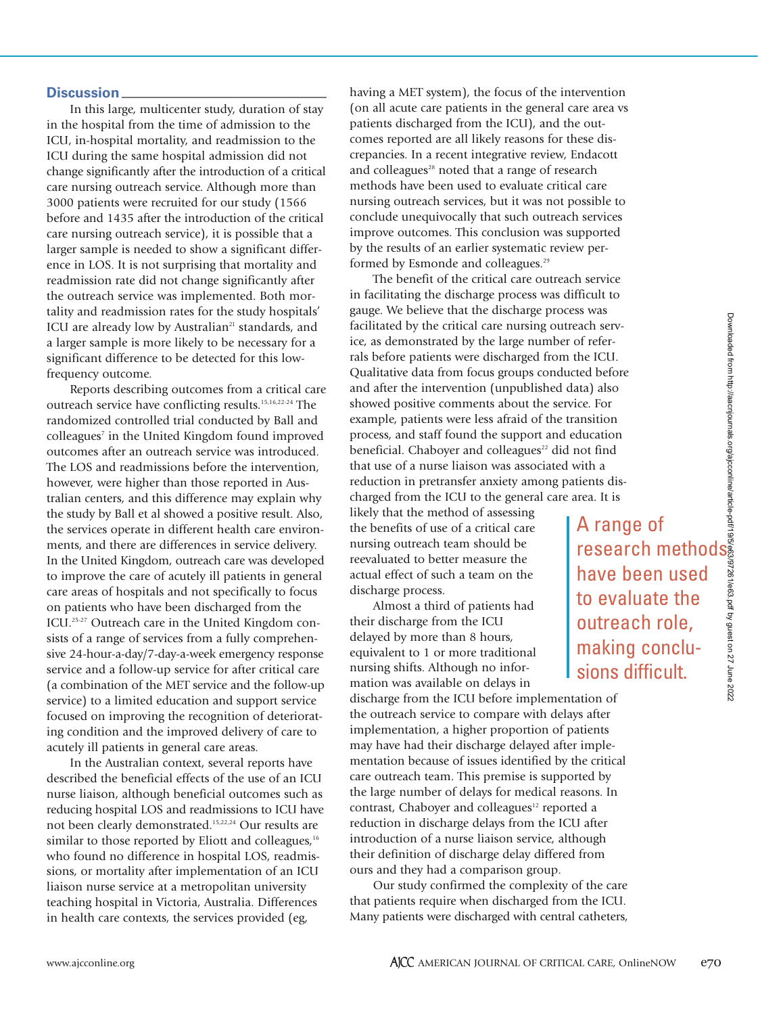A range of

have been used

to evaluate the outreach role, making conclusions difficult.

#### **Discussion**

In this large, multicenter study, duration of stay in the hospital from the time of admission to the ICU, in-hospital mortality, and readmission to the ICU during the same hospital admission did not change significantly after the introduction of a critical care nursing outreach service. Although more than 3000 patients were recruited for our study (1566 before and 1435 after the introduction of the critical care nursing outreach service), it is possible that a larger sample is needed to show a significant difference in LOS. It is not surprising that mortality and readmission rate did not change significantly after the outreach service was implemented. Both mortality and readmission rates for the study hospitals' ICU are already low by Australian<sup>21</sup> standards, and a larger sample is more likely to be necessary for a significant difference to be detected for this lowfrequency outcome.

Reports describing outcomes from a critical care outreach service have conflicting results.15,16,22-24 The randomized controlled trial conducted by Ball and colleagues<sup>7</sup> in the United Kingdom found improved outcomes after an outreach service was introduced. The LOS and readmissions before the intervention, however, were higher than those reported in Australian centers, and this difference may explain why the study by Ball et al showed a positive result. Also, the services operate in different health care environments, and there are differences in service delivery. In the United Kingdom, outreach care was developed to improve the care of acutely ill patients in general care areas of hospitals and not specifically to focus on patients who have been discharged from the ICU.25-27 Outreach care in the United Kingdom consists of a range of services from a fully comprehensive 24-hour-a-day/7-day-a-week emergency response service and a follow-up service for after critical care (a combination of the MET service and the follow-up service) to a limited education and support service focused on improving the recognition of deteriorating condition and the improved delivery of care to acutely ill patients in general care areas.

In the Australian context, several reports have described the beneficial effects of the use of an ICU nurse liaison, although beneficial outcomes such as reducing hospital LOS and readmissions to ICU have not been clearly demonstrated.15,22,24 Our results are similar to those reported by Eliott and colleagues, $16$ who found no difference in hospital LOS, readmissions, or mortality after implementation of an ICU liaison nurse service at a metropolitan university teaching hospital in Victoria, Australia. Differences in health care contexts, the services provided (eg,

having a MET system), the focus of the intervention (on all acute care patients in the general care area vs patients discharged from the ICU), and the outcomes reported are all likely reasons for these discrepancies. In a recent integrative review, Endacott and colleagues $28$  noted that a range of research methods have been used to evaluate critical care nursing outreach services, but it was not possible to conclude unequivocally that such outreach services improve outcomes. This conclusion was supported by the results of an earlier systematic review performed by Esmonde and colleagues.<sup>29</sup>

The benefit of the critical care outreach service in facilitating the discharge process was difficult to gauge. We believe that the discharge process was facilitated by the critical care nursing outreach service, as demonstrated by the large number of referrals before patients were discharged from the ICU. Qualitative data from focus groups conducted before and after the intervention (unpublished data) also showed positive comments about the service. For example, patients were less afraid of the transition process, and staff found the support and education beneficial. Chaboyer and colleagues<sup>22</sup> did not find that use of a nurse liaison was associated with a reduction in pretransfer anxiety among patients discharged from the ICU to the general care area. It is Example and Service and Service of refer-<br>the ICU.<br>ted before and also<br>ice. For<br>ansition ducation<br>ducation ducation<br>of find<br>with a<br>tients dis-<br>rea. It is<br>**A range of research methods**<br> $\frac{1}{2}$ <br>**have been used**<br>to evaluate

likely that the method of assessing the benefits of use of a critical care nursing outreach team should be reevaluated to better measure the actual effect of such a team on the discharge process.

Almost a third of patients had their discharge from the ICU delayed by more than 8 hours, equivalent to 1 or more traditional nursing shifts. Although no information was available on delays in

discharge from the ICU before implementation of the outreach service to compare with delays after implementation, a higher proportion of patients may have had their discharge delayed after implementation because of issues identified by the critical care outreach team. This premise is supported by the large number of delays for medical reasons. In contrast, Chaboyer and colleagues<sup>12</sup> reported a reduction in discharge delays from the ICU after introduction of a nurse liaison service, although their definition of discharge delay differed from ours and they had a comparison group.

Our study confirmed the complexity of the care that patients require when discharged from the ICU. Many patients were discharged with central catheters,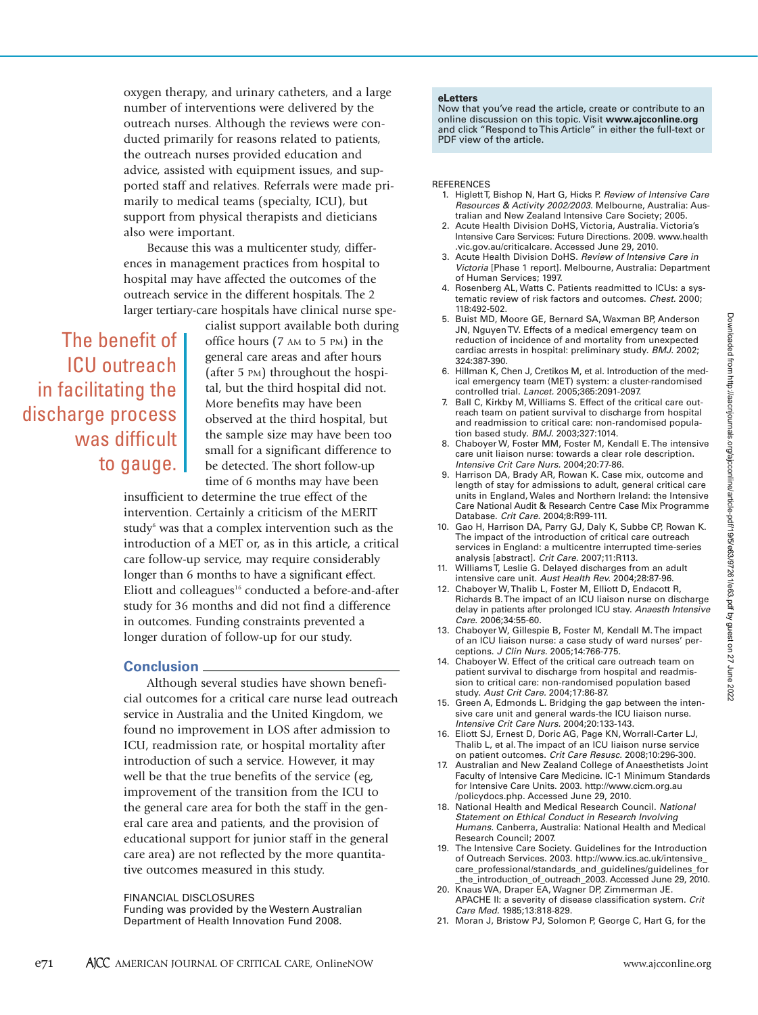oxygen therapy, and urinary catheters, and a large number of interventions were delivered by the outreach nurses. Although the reviews were conducted primarily for reasons related to patients, the outreach nurses provided education and advice, assisted with equipment issues, and supported staff and relatives. Referrals were made primarily to medical teams (specialty, ICU), but support from physical therapists and dieticians also were important.

Because this was a multicenter study, differences in management practices from hospital to hospital may have affected the outcomes of the outreach service in the different hospitals. The 2 larger tertiary-care hospitals have clinical nurse spe-

The benefit of ICU outreach in facilitating the discharge process was difficult to gauge. cialist support available both during office hours (7 AM to 5 PM) in the general care areas and after hours (after 5 PM) throughout the hospital, but the third hospital did not. More benefits may have been observed at the third hospital, but the sample size may have been too small for a significant difference to be detected. The short follow-up time of 6 months may have been

insufficient to determine the true effect of the intervention. Certainly a criticism of the MERIT study<sup>6</sup> was that a complex intervention such as the introduction of a MET or, as in this article, a critical care follow-up service, may require considerably longer than 6 months to have a significant effect. Eliott and colleagues<sup>16</sup> conducted a before-and-after study for 36 months and did not find a difference in outcomes. Funding constraints prevented a longer duration of follow-up for our study.

#### **Conclusion**

Although several studies have shown beneficial outcomes for a critical care nurse lead outreach service in Australia and the United Kingdom, we found no improvement in LOS after admission to ICU, readmission rate, or hospital mortality after introduction of such a service. However, it may well be that the true benefits of the service (eg, improvement of the transition from the ICU to the general care area for both the staff in the general care area and patients, and the provision of educational support for junior staff in the general care area) are not reflected by the more quantitative outcomes measured in this study.

FINANCIAL DISCLOSURES

Funding was provided by the Western Australian Department of Health Innovation Fund 2008.

#### **eLetters**

Now that you've read the article, create or contribute to an online discussion on this topic. Visit **www.ajcconline.org** and click "Respond to This Article" in either the full-text or PDF view of the article.

#### **REFERENCES**

- 1. Higlett T, Bishop N, Hart G, Hicks P. *Review of Intensive Care Resources & Activity 2002/2003.* Melbourne, Australia: Australian and New Zealand Intensive Care Society; 2005.
- 2. Acute Health Division DoHS, Victoria, Australia. Victoria's Intensive Care Services: Future Directions. 2009. www.health .vic.gov.au/criticalcare. Accessed June 29, 2010.
- 3. Acute Health Division DoHS. *Review of Intensive Care in Victoria* [Phase 1 report]. Melbourne, Australia: Department of Human Services; 1997.
- 4. Rosenberg AL, Watts C. Patients readmitted to ICUs: a systematic review of risk factors and outcomes. *Chest.* 2000; 118:492-502.
- 5. Buist MD, Moore GE, Bernard SA, Waxman BP, Anderson JN, Nguyen TV. Effects of a medical emergency team on reduction of incidence of and mortality from unexpected cardiac arrests in hospital: preliminary study. *BMJ.* 2002; 324:387-390.
- 6. Hillman K, Chen J, Cretikos M, et al. Introduction of the medical emergency team (MET) system: a cluster-randomised controlled trial. *Lancet.* 2005;365:2091-2097.
- 7. Ball C, Kirkby M, Williams S. Effect of the critical care outreach team on patient survival to discharge from hospital and readmission to critical care: non-randomised population based study. *BMJ.* 2003;327:1014.
- 8. Chaboyer W, Foster MM, Foster M, Kendall E. The intensive care unit liaison nurse: towards a clear role description. *Intensive Crit Care Nurs.* 2004;20:77-86.
- 9. Harrison DA, Brady AR, Rowan K. Case mix, outcome and length of stay for admissions to adult, general critical care units in England, Wales and Northern Ireland: the Intensive Care National Audit & Research Centre Case Mix Programme Database. *Crit Care.* 2004;8:R99-111.
- 10. Gao H, Harrison DA, Parry GJ, Daly K, Subbe CP, Rowan K. The impact of the introduction of critical care outreach services in England: a multicentre interrupted time-series analysis [abstract]. *Crit Care.* 2007;11:R113.
- 11. Williams T, Leslie G. Delayed discharges from an adult intensive care unit. *Aust Health Rev.* 2004;28:87-96.
- 12. Chaboyer W, Thalib L, Foster M, Elliott D, Endacott R, Richards B. The impact of an ICU liaison nurse on discharge delay in patients after prolonged ICU stay. *Anaesth Intensive Care.* 2006;34:55-60.
- 13. Chaboyer W, Gillespie B, Foster M, Kendall M. The impact of an ICU liaison nurse: a case study of ward nurses' perceptions. *J Clin Nurs.* 2005;14:766-775.
- 14. Chaboyer W. Effect of the critical care outreach team on patient survival to discharge from hospital and readmission to critical care: non-randomised population based study. *Aust Crit Care.* 2004;17:86-87.
- 15. Green A, Edmonds L. Bridging the gap between the intensive care unit and general wards-the ICU liaison nurse. *Intensive Crit Care Nurs.* 2004;20:133-143.
- 16. Eliott SJ, Ernest D, Doric AG, Page KN, Worrall-Carter LJ, Thalib L, et al. The impact of an ICU liaison nurse service on patient outcomes. *Crit Care Resusc.* 2008;10:296-300.
- 17. Australian and New Zealand College of Anaesthetists Joint Faculty of Intensive Care Medicine. IC-1 Minimum Standards for Intensive Care Units. 2003. http://www.cicm.org.au /policydocs.php. Accessed June 29, 2010.
- 18. National Health and Medical Research Council. *National Statement on Ethical Conduct in Research Involving Humans.* Canberra, Australia: National Health and Medical Research Council; 2007.
- 19. The Intensive Care Society. Guidelines for the Introduction of Outreach Services. 2003. http://www.ics.ac.uk/intensive\_ care\_professional/standards\_and\_guidelines/guidelines\_for \_the\_introduction\_of\_outreach\_2003. Accessed June 29, 2010.
- 20. Knaus WA, Draper EA, Wagner DP, Zimmerman JE. APACHE II: a severity of disease classification system. *Crit Care Med.* 1985;13:818-829.
- 21. Moran J, Bristow PJ, Solomon P, George C, Hart G, for the

Downloaded from http://aacnjournals.org/ajcoonline/article-pdf/19/5/e63/97261/e63.pdf by guest on 27 June 2022 Downloaded from http://aacnjournals.org/ajcconline/article-pdf/19/5/e63/97261/e63.pdf by guest on 27 June 2022